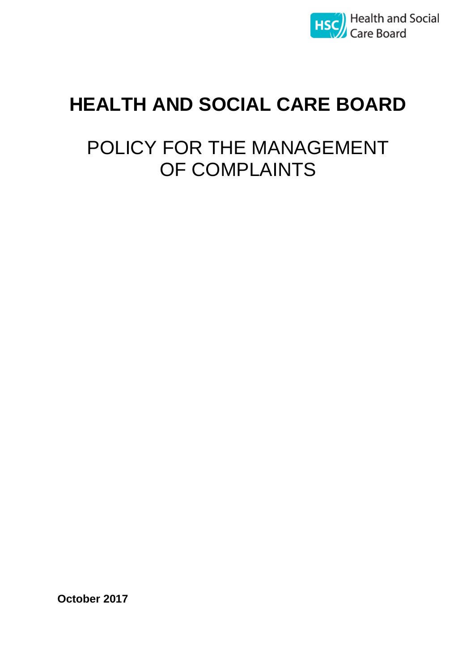

# **HEALTH AND SOCIAL CARE BOARD**

# POLICY FOR THE MANAGEMENT OF COMPLAINTS

**October 2017**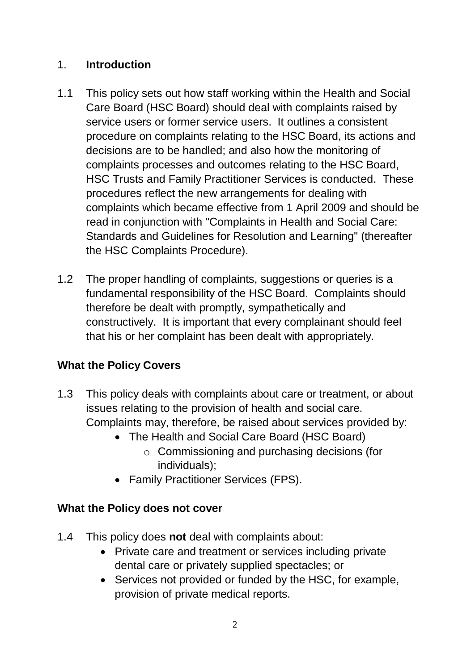## 1. **Introduction**

- 1.1 This policy sets out how staff working within the Health and Social Care Board (HSC Board) should deal with complaints raised by service users or former service users. It outlines a consistent procedure on complaints relating to the HSC Board, its actions and decisions are to be handled; and also how the monitoring of complaints processes and outcomes relating to the HSC Board, HSC Trusts and Family Practitioner Services is conducted. These procedures reflect the new arrangements for dealing with complaints which became effective from 1 April 2009 and should be read in conjunction with "Complaints in Health and Social Care: Standards and Guidelines for Resolution and Learning" (thereafter the HSC Complaints Procedure).
- 1.2 The proper handling of complaints, suggestions or queries is a fundamental responsibility of the HSC Board. Complaints should therefore be dealt with promptly, sympathetically and constructively. It is important that every complainant should feel that his or her complaint has been dealt with appropriately.

# **What the Policy Covers**

- 1.3 This policy deals with complaints about care or treatment, or about issues relating to the provision of health and social care. Complaints may, therefore, be raised about services provided by:
	- The Health and Social Care Board (HSC Board)
		- o Commissioning and purchasing decisions (for individuals);
	- Family Practitioner Services (FPS).

# **What the Policy does not cover**

- 1.4 This policy does **not** deal with complaints about:
	- Private care and treatment or services including private dental care or privately supplied spectacles; or
	- Services not provided or funded by the HSC, for example, provision of private medical reports.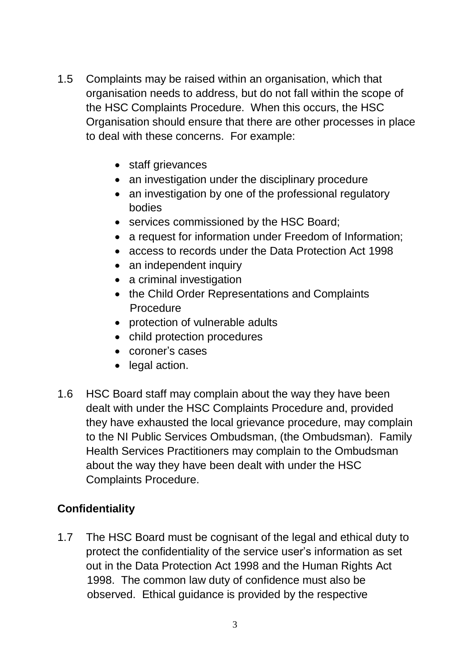- 1.5 Complaints may be raised within an organisation, which that organisation needs to address, but do not fall within the scope of the HSC Complaints Procedure. When this occurs, the HSC Organisation should ensure that there are other processes in place to deal with these concerns. For example:
	- staff grievances
	- an investigation under the disciplinary procedure
	- an investigation by one of the professional regulatory bodies
	- services commissioned by the HSC Board;
	- a request for information under Freedom of Information;
	- access to records under the Data Protection Act 1998
	- an independent inquiry
	- a criminal investigation
	- the Child Order Representations and Complaints Procedure
	- protection of vulnerable adults
	- child protection procedures
	- coroner's cases
	- legal action.
- 1.6 HSC Board staff may complain about the way they have been dealt with under the HSC Complaints Procedure and, provided they have exhausted the local grievance procedure, may complain to the NI Public Services Ombudsman, (the Ombudsman). Family Health Services Practitioners may complain to the Ombudsman about the way they have been dealt with under the HSC Complaints Procedure.

## **Confidentiality**

1.7 The HSC Board must be cognisant of the legal and ethical duty to protect the confidentiality of the service user's information as set out in the Data Protection Act 1998 and the Human Rights Act 1998. The common law duty of confidence must also be observed. Ethical guidance is provided by the respective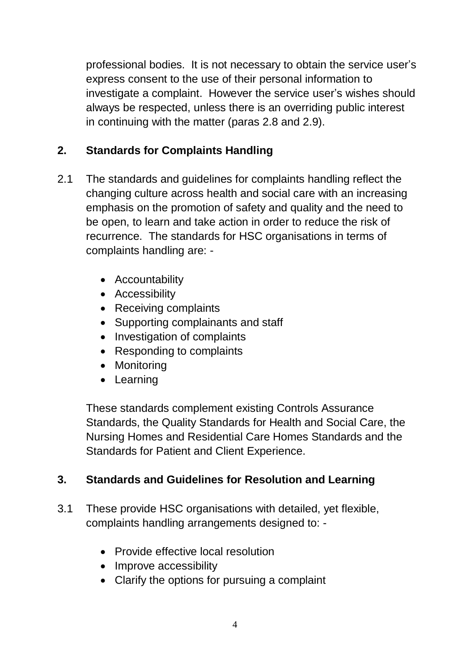professional bodies. It is not necessary to obtain the service user's express consent to the use of their personal information to investigate a complaint. However the service user's wishes should always be respected, unless there is an overriding public interest in continuing with the matter (paras 2.8 and 2.9).

# **2. Standards for Complaints Handling**

- 2.1 The standards and guidelines for complaints handling reflect the changing culture across health and social care with an increasing emphasis on the promotion of safety and quality and the need to be open, to learn and take action in order to reduce the risk of recurrence. The standards for HSC organisations in terms of complaints handling are: -
	- Accountability
	- Accessibility
	- Receiving complaints
	- Supporting complainants and staff
	- Investigation of complaints
	- Responding to complaints
	- Monitoring
	- Learning

These standards complement existing Controls Assurance Standards, the Quality Standards for Health and Social Care, the Nursing Homes and Residential Care Homes Standards and the Standards for Patient and Client Experience.

## **3. Standards and Guidelines for Resolution and Learning**

- 3.1 These provide HSC organisations with detailed, yet flexible, complaints handling arrangements designed to: -
	- Provide effective local resolution
	- Improve accessibility
	- Clarify the options for pursuing a complaint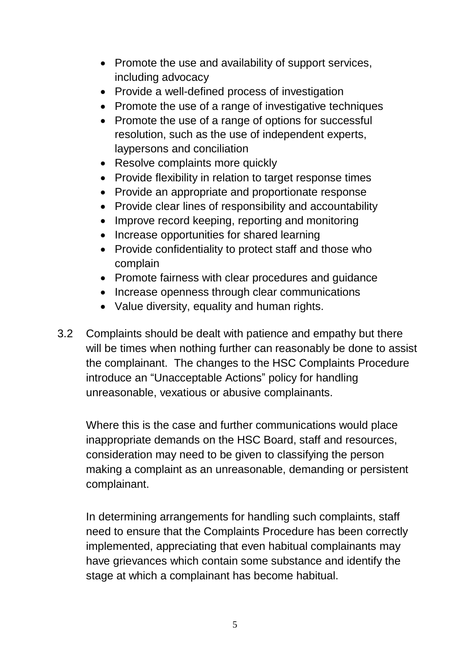- Promote the use and availability of support services, including advocacy
- Provide a well-defined process of investigation
- Promote the use of a range of investigative techniques
- Promote the use of a range of options for successful resolution, such as the use of independent experts, laypersons and conciliation
- Resolve complaints more quickly
- Provide flexibility in relation to target response times
- Provide an appropriate and proportionate response
- Provide clear lines of responsibility and accountability
- Improve record keeping, reporting and monitoring
- Increase opportunities for shared learning
- Provide confidentiality to protect staff and those who complain
- Promote fairness with clear procedures and guidance
- Increase openness through clear communications
- Value diversity, equality and human rights.
- 3.2 Complaints should be dealt with patience and empathy but there will be times when nothing further can reasonably be done to assist the complainant. The changes to the HSC Complaints Procedure introduce an "Unacceptable Actions" policy for handling unreasonable, vexatious or abusive complainants.

Where this is the case and further communications would place inappropriate demands on the HSC Board, staff and resources, consideration may need to be given to classifying the person making a complaint as an unreasonable, demanding or persistent complainant.

In determining arrangements for handling such complaints, staff need to ensure that the Complaints Procedure has been correctly implemented, appreciating that even habitual complainants may have grievances which contain some substance and identify the stage at which a complainant has become habitual.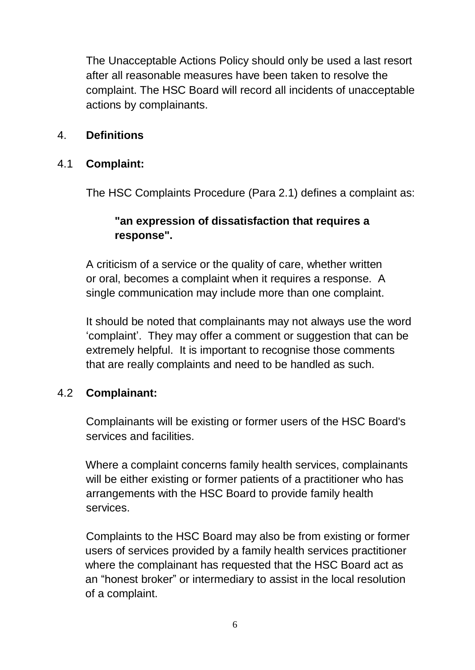The Unacceptable Actions Policy should only be used a last resort after all reasonable measures have been taken to resolve the complaint. The HSC Board will record all incidents of unacceptable actions by complainants.

#### 4. **Definitions**

#### 4.1 **Complaint:**

The HSC Complaints Procedure (Para 2.1) defines a complaint as:

#### **"an expression of dissatisfaction that requires a response".**

A criticism of a service or the quality of care, whether written or oral, becomes a complaint when it requires a response. A single communication may include more than one complaint.

It should be noted that complainants may not always use the word 'complaint'. They may offer a comment or suggestion that can be extremely helpful. It is important to recognise those comments that are really complaints and need to be handled as such.

#### 4.2 **Complainant:**

Complainants will be existing or former users of the HSC Board's services and facilities.

Where a complaint concerns family health services, complainants will be either existing or former patients of a practitioner who has arrangements with the HSC Board to provide family health services.

Complaints to the HSC Board may also be from existing or former users of services provided by a family health services practitioner where the complainant has requested that the HSC Board act as an "honest broker" or intermediary to assist in the local resolution of a complaint.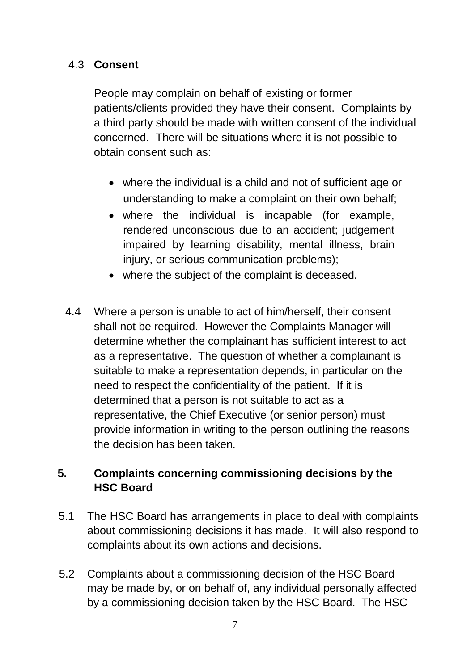#### 4.3 **Consent**

People may complain on behalf of existing or former patients/clients provided they have their consent. Complaints by a third party should be made with written consent of the individual concerned. There will be situations where it is not possible to obtain consent such as:

- where the individual is a child and not of sufficient age or understanding to make a complaint on their own behalf;
- where the individual is incapable (for example, rendered unconscious due to an accident; judgement impaired by learning disability, mental illness, brain injury, or serious communication problems);
- where the subject of the complaint is deceased.
- 4.4 Where a person is unable to act of him/herself, their consent shall not be required. However the Complaints Manager will determine whether the complainant has sufficient interest to act as a representative. The question of whether a complainant is suitable to make a representation depends, in particular on the need to respect the confidentiality of the patient. If it is determined that a person is not suitable to act as a representative, the Chief Executive (or senior person) must provide information in writing to the person outlining the reasons the decision has been taken.

# **5. Complaints concerning commissioning decisions by the HSC Board**

- 5.1 The HSC Board has arrangements in place to deal with complaints about commissioning decisions it has made. It will also respond to complaints about its own actions and decisions.
- 5.2 Complaints about a commissioning decision of the HSC Board may be made by, or on behalf of, any individual personally affected by a commissioning decision taken by the HSC Board. The HSC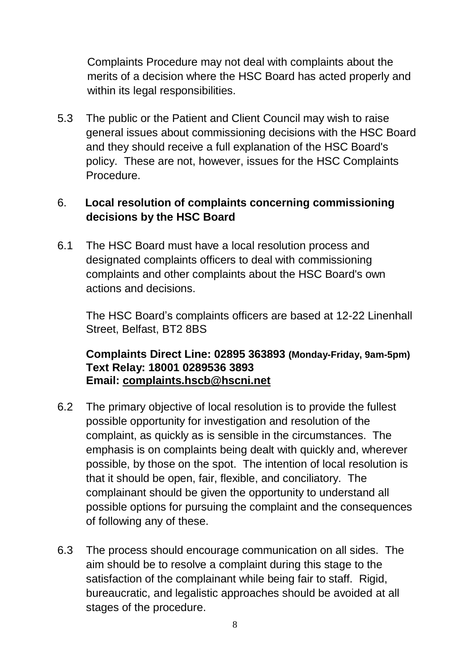Complaints Procedure may not deal with complaints about the merits of a decision where the HSC Board has acted properly and within its legal responsibilities.

5.3 The public or the Patient and Client Council may wish to raise general issues about commissioning decisions with the HSC Board and they should receive a full explanation of the HSC Board's policy. These are not, however, issues for the HSC Complaints Procedure.

# 6. **Local resolution of complaints concerning commissioning decisions by the HSC Board**

6.1 The HSC Board must have a local resolution process and designated complaints officers to deal with commissioning complaints and other complaints about the HSC Board's own actions and decisions.

The HSC Board's complaints officers are based at 12-22 Linenhall Street, Belfast, BT2 8BS

#### **Complaints Direct Line: 02895 363893 (Monday-Friday, 9am-5pm) Text Relay: 18001 0289536 3893 Email: [complaints.hscb@hscni.net](mailto:complaints.hscb@hscni.net)**

- 6.2 The primary objective of local resolution is to provide the fullest possible opportunity for investigation and resolution of the complaint, as quickly as is sensible in the circumstances. The emphasis is on complaints being dealt with quickly and, wherever possible, by those on the spot. The intention of local resolution is that it should be open, fair, flexible, and conciliatory. The complainant should be given the opportunity to understand all possible options for pursuing the complaint and the consequences of following any of these.
- 6.3 The process should encourage communication on all sides. The aim should be to resolve a complaint during this stage to the satisfaction of the complainant while being fair to staff. Rigid, bureaucratic, and legalistic approaches should be avoided at all stages of the procedure.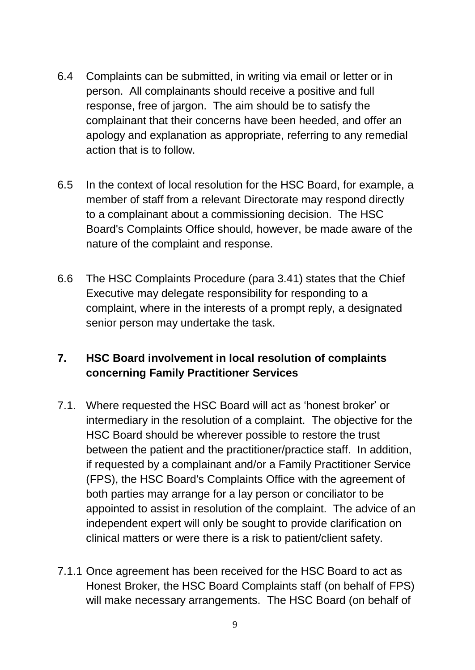- 6.4 Complaints can be submitted, in writing via email or letter or in person. All complainants should receive a positive and full response, free of jargon. The aim should be to satisfy the complainant that their concerns have been heeded, and offer an apology and explanation as appropriate, referring to any remedial action that is to follow.
- 6.5 In the context of local resolution for the HSC Board, for example, a member of staff from a relevant Directorate may respond directly to a complainant about a commissioning decision. The HSC Board's Complaints Office should, however, be made aware of the nature of the complaint and response.
- 6.6 The HSC Complaints Procedure (para 3.41) states that the Chief Executive may delegate responsibility for responding to a complaint, where in the interests of a prompt reply, a designated senior person may undertake the task.

# **7. HSC Board involvement in local resolution of complaints concerning Family Practitioner Services**

- 7.1. Where requested the HSC Board will act as 'honest broker' or intermediary in the resolution of a complaint. The objective for the HSC Board should be wherever possible to restore the trust between the patient and the practitioner/practice staff. In addition, if requested by a complainant and/or a Family Practitioner Service (FPS), the HSC Board's Complaints Office with the agreement of both parties may arrange for a lay person or conciliator to be appointed to assist in resolution of the complaint. The advice of an independent expert will only be sought to provide clarification on clinical matters or were there is a risk to patient/client safety.
- 7.1.1 Once agreement has been received for the HSC Board to act as Honest Broker, the HSC Board Complaints staff (on behalf of FPS) will make necessary arrangements. The HSC Board (on behalf of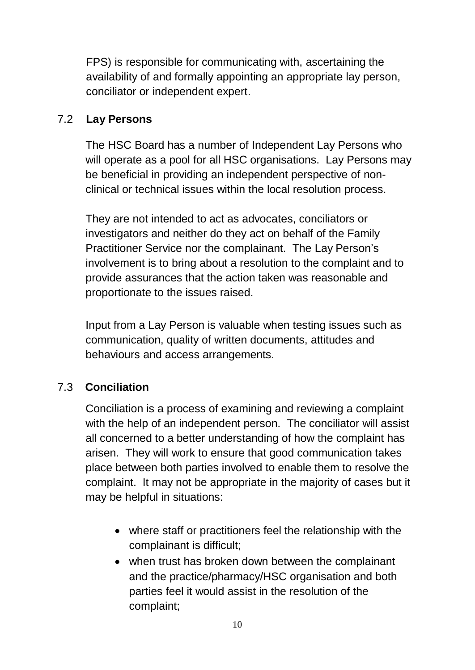FPS) is responsible for communicating with, ascertaining the availability of and formally appointing an appropriate lay person, conciliator or independent expert.

#### 7.2 **Lay Persons**

The HSC Board has a number of Independent Lay Persons who will operate as a pool for all HSC organisations. Lay Persons may be beneficial in providing an independent perspective of nonclinical or technical issues within the local resolution process.

They are not intended to act as advocates, conciliators or investigators and neither do they act on behalf of the Family Practitioner Service nor the complainant. The Lay Person's involvement is to bring about a resolution to the complaint and to provide assurances that the action taken was reasonable and proportionate to the issues raised.

Input from a Lay Person is valuable when testing issues such as communication, quality of written documents, attitudes and behaviours and access arrangements.

# 7.3 **Conciliation**

Conciliation is a process of examining and reviewing a complaint with the help of an independent person. The conciliator will assist all concerned to a better understanding of how the complaint has arisen. They will work to ensure that good communication takes place between both parties involved to enable them to resolve the complaint. It may not be appropriate in the majority of cases but it may be helpful in situations:

- where staff or practitioners feel the relationship with the complainant is difficult;
- when trust has broken down between the complainant and the practice/pharmacy/HSC organisation and both parties feel it would assist in the resolution of the complaint;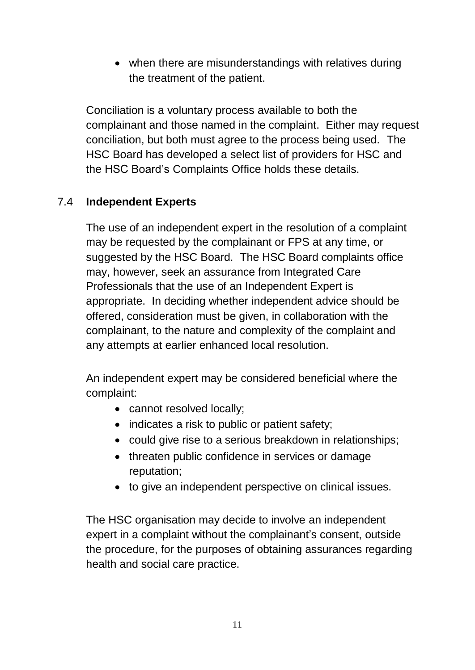• when there are misunderstandings with relatives during the treatment of the patient.

Conciliation is a voluntary process available to both the complainant and those named in the complaint. Either may request conciliation, but both must agree to the process being used. The HSC Board has developed a select list of providers for HSC and the HSC Board's Complaints Office holds these details.

## 7.4 **Independent Experts**

The use of an independent expert in the resolution of a complaint may be requested by the complainant or FPS at any time, or suggested by the HSC Board. The HSC Board complaints office may, however, seek an assurance from Integrated Care Professionals that the use of an Independent Expert is appropriate. In deciding whether independent advice should be offered, consideration must be given, in collaboration with the complainant, to the nature and complexity of the complaint and any attempts at earlier enhanced local resolution.

An independent expert may be considered beneficial where the complaint:

- cannot resolved locally;
- indicates a risk to public or patient safety;
- could give rise to a serious breakdown in relationships;
- threaten public confidence in services or damage reputation;
- to give an independent perspective on clinical issues.

The HSC organisation may decide to involve an independent expert in a complaint without the complainant's consent, outside the procedure, for the purposes of obtaining assurances regarding health and social care practice.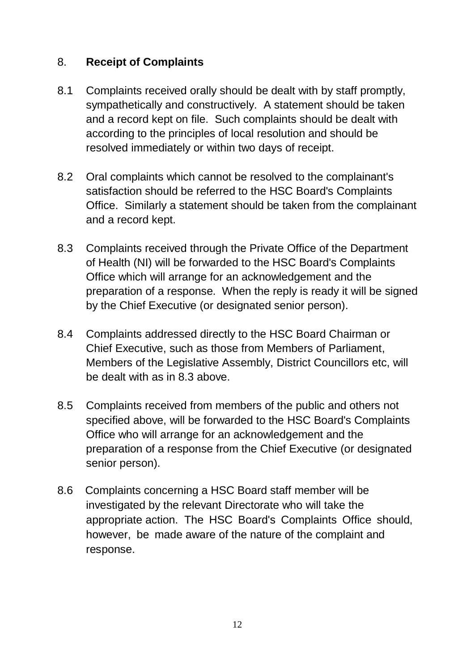#### 8. **Receipt of Complaints**

- 8.1 Complaints received orally should be dealt with by staff promptly, sympathetically and constructively. A statement should be taken and a record kept on file. Such complaints should be dealt with according to the principles of local resolution and should be resolved immediately or within two days of receipt.
- 8.2 Oral complaints which cannot be resolved to the complainant's satisfaction should be referred to the HSC Board's Complaints Office. Similarly a statement should be taken from the complainant and a record kept.
- 8.3 Complaints received through the Private Office of the Department of Health (NI) will be forwarded to the HSC Board's Complaints Office which will arrange for an acknowledgement and the preparation of a response. When the reply is ready it will be signed by the Chief Executive (or designated senior person).
- 8.4 Complaints addressed directly to the HSC Board Chairman or Chief Executive, such as those from Members of Parliament, Members of the Legislative Assembly, District Councillors etc, will be dealt with as in 8.3 above.
- 8.5 Complaints received from members of the public and others not specified above, will be forwarded to the HSC Board's Complaints Office who will arrange for an acknowledgement and the preparation of a response from the Chief Executive (or designated senior person).
- 8.6 Complaints concerning a HSC Board staff member will be investigated by the relevant Directorate who will take the appropriate action. The HSC Board's Complaints Office should, however, be made aware of the nature of the complaint and response.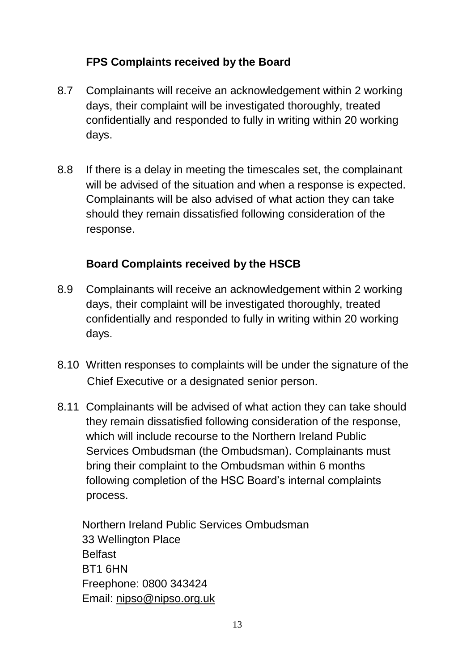# **FPS Complaints received by the Board**

- 8.7 Complainants will receive an acknowledgement within 2 working days, their complaint will be investigated thoroughly, treated confidentially and responded to fully in writing within 20 working days.
- 8.8 If there is a delay in meeting the timescales set, the complainant will be advised of the situation and when a response is expected. Complainants will be also advised of what action they can take should they remain dissatisfied following consideration of the response.

## **Board Complaints received by the HSCB**

- 8.9 Complainants will receive an acknowledgement within 2 working days, their complaint will be investigated thoroughly, treated confidentially and responded to fully in writing within 20 working days.
- 8.10 Written responses to complaints will be under the signature of the Chief Executive or a designated senior person.
- 8.11 Complainants will be advised of what action they can take should they remain dissatisfied following consideration of the response, which will include recourse to the Northern Ireland Public Services Ombudsman (the Ombudsman). Complainants must bring their complaint to the Ombudsman within 6 months following completion of the HSC Board's internal complaints process.

Northern Ireland Public Services Ombudsman 33 Wellington Place **Belfast** BT1 6HN Freephone: 0800 343424 Email: [nipso@nipso.org.uk](mailto:nipso@nipso.org.uk)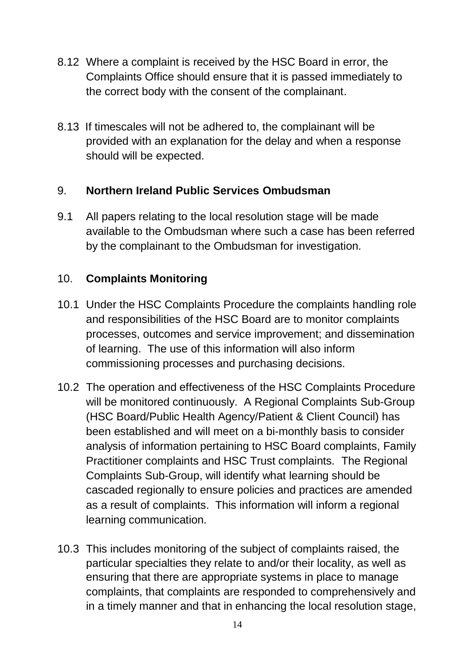- 8.12 Where a complaint is received by the HSC Board in error, the Complaints Office should ensure that it is passed immediately to the correct body with the consent of the complainant.
- 8.13 If timescales will not be adhered to, the complainant will be provided with an explanation for the delay and when a response should will be expected.

## 9. **Northern Ireland Public Services Ombudsman**

9.1 All papers relating to the local resolution stage will be made available to the Ombudsman where such a case has been referred by the complainant to the Ombudsman for investigation.

# 10. **Complaints Monitoring**

- 10.1 Under the HSC Complaints Procedure the complaints handling role and responsibilities of the HSC Board are to monitor complaints processes, outcomes and service improvement; and dissemination of learning. The use of this information will also inform commissioning processes and purchasing decisions.
- 10.2 The operation and effectiveness of the HSC Complaints Procedure will be monitored continuously. A Regional Complaints Sub-Group (HSC Board/Public Health Agency/Patient & Client Council) has been established and will meet on a bi-monthly basis to consider analysis of information pertaining to HSC Board complaints, Family Practitioner complaints and HSC Trust complaints. The Regional Complaints Sub-Group, will identify what learning should be cascaded regionally to ensure policies and practices are amended as a result of complaints. This information will inform a regional learning communication.
- 10.3 This includes monitoring of the subject of complaints raised, the particular specialties they relate to and/or their locality, as well as ensuring that there are appropriate systems in place to manage complaints, that complaints are responded to comprehensively and in a timely manner and that in enhancing the local resolution stage,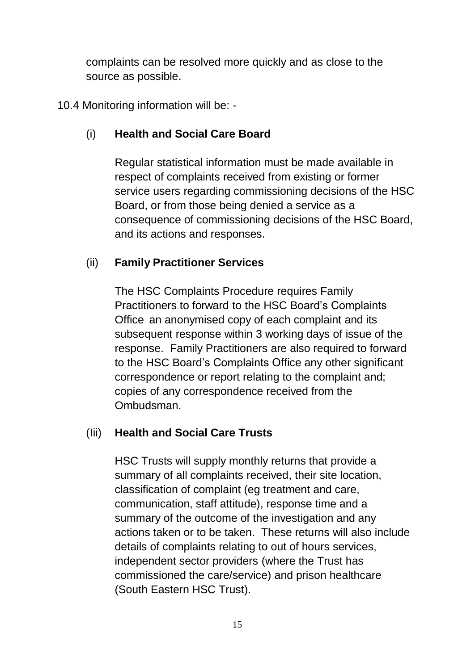complaints can be resolved more quickly and as close to the source as possible.

10.4 Monitoring information will be: -

# (i) **Health and Social Care Board**

Regular statistical information must be made available in respect of complaints received from existing or former service users regarding commissioning decisions of the HSC Board, or from those being denied a service as a consequence of commissioning decisions of the HSC Board, and its actions and responses.

## (ii) **Family Practitioner Services**

The HSC Complaints Procedure requires Family Practitioners to forward to the HSC Board's Complaints Office an anonymised copy of each complaint and its subsequent response within 3 working days of issue of the response. Family Practitioners are also required to forward to the HSC Board's Complaints Office any other significant correspondence or report relating to the complaint and; copies of any correspondence received from the Ombudsman.

## (Iii) **Health and Social Care Trusts**

HSC Trusts will supply monthly returns that provide a summary of all complaints received, their site location, classification of complaint (eg treatment and care, communication, staff attitude), response time and a summary of the outcome of the investigation and any actions taken or to be taken. These returns will also include details of complaints relating to out of hours services, independent sector providers (where the Trust has commissioned the care/service) and prison healthcare (South Eastern HSC Trust).